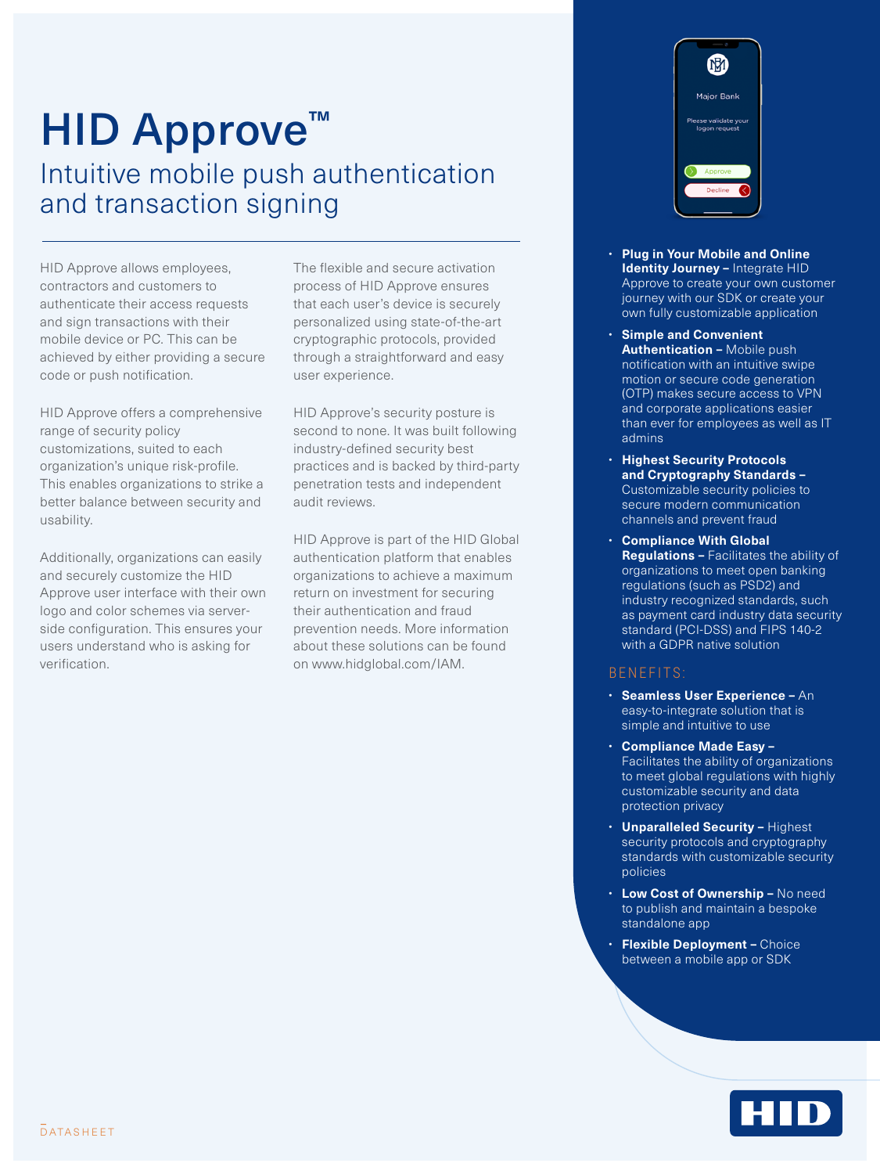# HID Approve<sup>™</sup> Intuitive mobile push authentication and transaction signing

HID Approve allows employees, contractors and customers to authenticate their access requests and sign transactions with their mobile device or PC. This can be achieved by either providing a secure code or push notification.

HID Approve offers a comprehensive range of security policy customizations, suited to each organization's unique risk-profile. This enables organizations to strike a better balance between security and usability.

Additionally, organizations can easily and securely customize the HID Approve user interface with their own logo and color schemes via serverside configuration. This ensures your users understand who is asking for verification.

The flexible and secure activation process of HID Approve ensures that each user's device is securely personalized using state-of-the-art cryptographic protocols, provided through a straightforward and easy user experience.

HID Approve's security posture is second to none. It was built following industry-defined security best practices and is backed by third-party penetration tests and independent audit reviews.

HID Approve is part of the HID Global authentication platform that enables organizations to achieve a maximum return on investment for securing their authentication and fraud prevention needs. More information about these solutions can be found on www.hidglobal.com/IAM.



- **Plug in Your Mobile and Online Identity Journey –** Integrate HID Approve to create your own customer journey with our SDK or create your own fully customizable application
- **Simple and Convenient Authentication –** Mobile push notification with an intuitive swipe motion or secure code generation (OTP) makes secure access to VPN and corporate applications easier than ever for employees as well as IT admins
- **Highest Security Protocols and Cryptography Standards –**  Customizable security policies to secure modern communication channels and prevent fraud
- **Compliance With Global Regulations –** Facilitates the ability of organizations to meet open banking regulations (such as PSD2) and industry recognized standards, such as payment card industry data security standard (PCI-DSS) and FIPS 140-2 with a GDPR native solution

## BENEFITS:

- **Seamless User Experience –** An easy-to-integrate solution that is simple and intuitive to use
- **Compliance Made Easy –** Facilitates the ability of organizations to meet global regulations with highly customizable security and data protection privacy
- **Unparalleled Security** Highest security protocols and cryptography standards with customizable security policies
- **Low Cost of Ownership –** No need to publish and maintain a bespoke standalone app
- **Flexible Deployment –** Choice between a mobile app or SDK